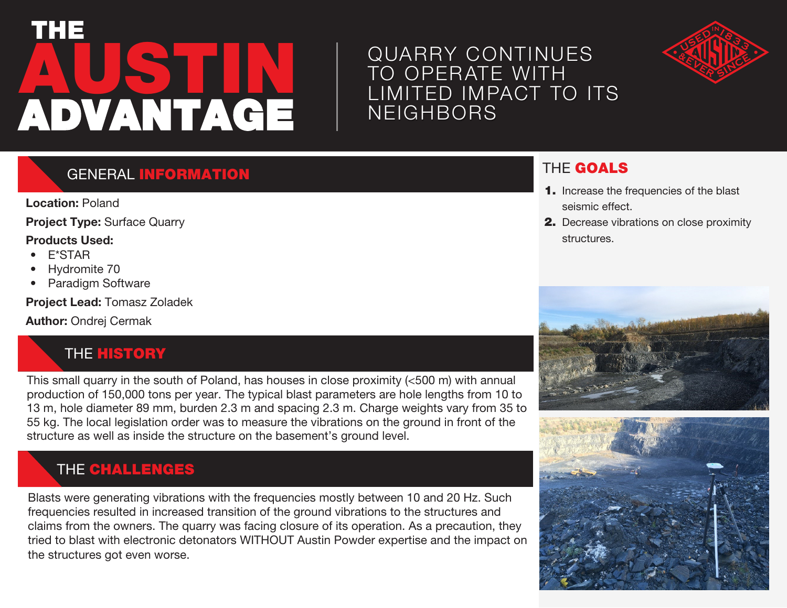# **AUSTIN** THE ADVANTAGE

## QUARRY CONTINUES TO OPERATE WITH LIMITED IMPACT TO ITS **NEIGHBORS**



#### **GENERAL INFORMATION**

**Location:** Poland

**Project Type:** Surface Quarry

#### **Products Used:**

- E\*STAR
- Hydromite 70
- Paradigm Software

**Project Lead:** Tomasz Zoladek

**Author:** Ondrej Cermak

## **THE HISTORY**

This small quarry in the south of Poland, has houses in close proximity (<500 m) with annual production of 150,000 tons per year. The typical blast parameters are hole lengths from 10 to 13 m, hole diameter 89 mm, burden 2.3 m and spacing 2.3 m. Charge weights vary from 35 to 55 kg. The local legislation order was to measure the vibrations on the ground in front of the structure as well as inside the structure on the basement's ground level.

## THE CHALLENGES

Blasts were generating vibrations with the frequencies mostly between 10 and 20 Hz. Such frequencies resulted in increased transition of the ground vibrations to the structures and claims from the owners. The quarry was facing closure of its operation. As a precaution, they tried to blast with electronic detonators WITHOUT Austin Powder expertise and the impact on the structures got even worse.

#### THE GOALS

- 1. Increase the frequencies of the blast seismic effect.
- 2. Decrease vibrations on close proximity structures.